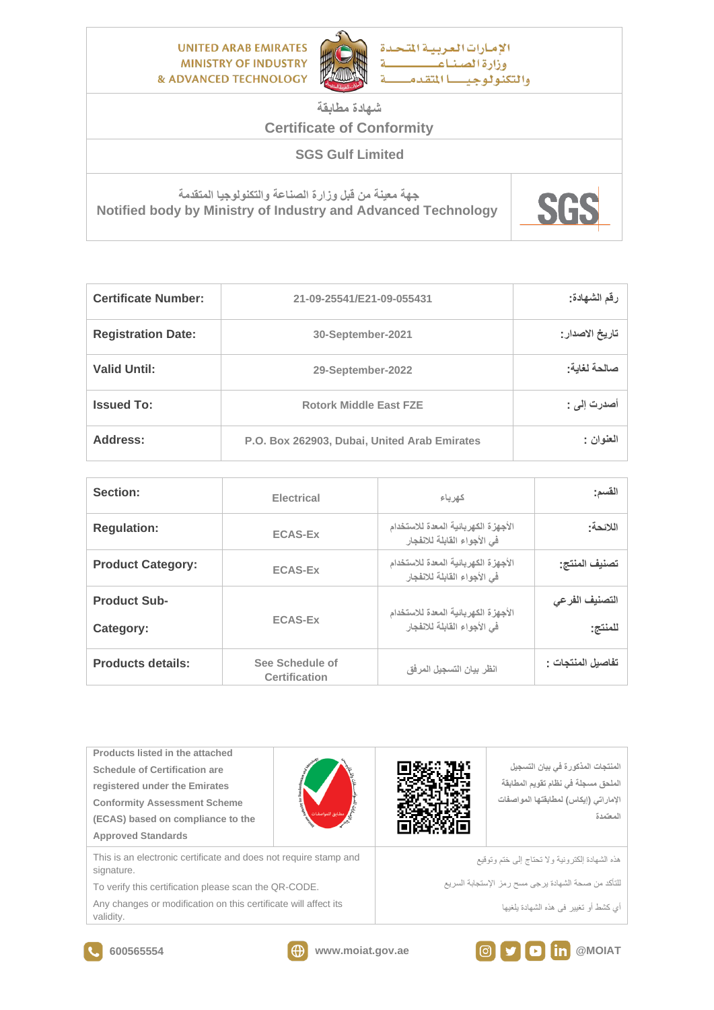**UNITED ARAB EMIRATES MINISTRY OF INDUSTRY & ADVANCED TECHNOLOGY** 



الامارات العربية المتحدة وزارة الصناع والتكنولوجيسا المتقدم

**شهادة مطابقة**

## **Certificate of Conformity**

**SGS Gulf Limited** 

**جهة معينة من قبل وزارة الصناعة والتكنولوجيا المتقدمة Notified body by Ministry of Industry and Advanced Technology** 



| <b>Certificate Number:</b> | 21-09-25541/E21-09-055431                    | رقم الشهادة:    |
|----------------------------|----------------------------------------------|-----------------|
| <b>Registration Date:</b>  | 30-September-2021                            | تاريخ الاصدار : |
| <b>Valid Until:</b>        | 29-September-2022                            | صالحة لغاية:    |
| <b>Issued To:</b>          | <b>Rotork Middle East FZE</b>                | أصدرت إلى :     |
| <b>Address:</b>            | P.O. Box 262903, Dubai, United Arab Emirates | المغنوان :      |

| Section:                         | <b>Electrical</b>                | كهرياء                                                             | القسم:                    |
|----------------------------------|----------------------------------|--------------------------------------------------------------------|---------------------------|
| <b>Regulation:</b>               | <b>ECAS-Ex</b>                   | الأجهزة الكهربائية المعدة للاستخدام<br>في الأجواء القابلة للانفجار | اللائحة:                  |
| <b>Product Category:</b>         | <b>ECAS-Ex</b>                   | الأجهزة الكهربائية المعدة للاستخدام<br>في الأجواء القابلة للانفجار | تصنيف المنتج:             |
| <b>Product Sub-</b><br>Category: | <b>ECAS-Ex</b>                   | الأجهزة الكهربائية المعدة للاستخدام<br>في الأجواء القابلة للانفجار | التصنيف الفرعى<br>للمنتج: |
| <b>Products details:</b>         | See Schedule of<br>Certification | انظر بيان التسجيل المرفق                                           | تفاصيل المنتجات :         |